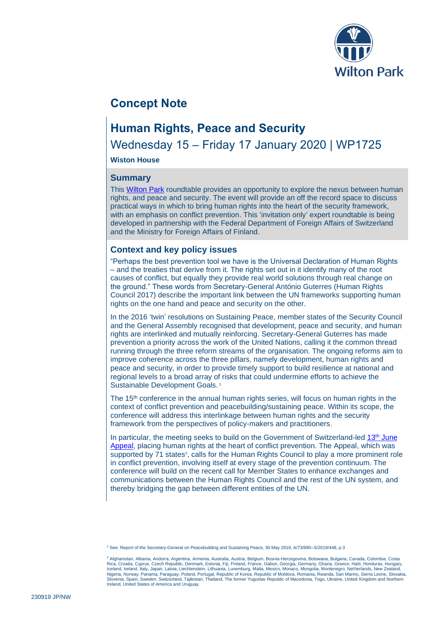

# **Concept Note**

## **Human Rights, Peace and Security**

Wednesday 15 – Friday 17 January 2020 | WP1725

**Wiston House**

### **Summary**

This [Wilton Park](https://www.wiltonpark.org.uk/) roundtable provides an opportunity to explore the nexus between human rights, and peace and security. The event will provide an off the record space to discuss practical ways in which to bring human rights into the heart of the security framework, with an emphasis on conflict prevention. This 'invitation only' expert roundtable is being developed in partnership with the Federal Department of Foreign Affairs of Switzerland and the Ministry for Foreign Affairs of Finland.

## **Context and key policy issues**

"Perhaps the best prevention tool we have is the Universal Declaration of Human Rights – and the treaties that derive from it. The rights set out in it identify many of the root causes of conflict, but equally they provide real world solutions through real change on the ground." These words from Secretary-General António Guterres (Human Rights Council 2017) describe the important link between the UN frameworks supporting human rights on the one hand and peace and security on the other.

In the 2016 'twin' resolutions on Sustaining Peace, member states of the Security Council and the General Assembly recognised that development, peace and security, and human rights are interlinked and mutually reinforcing. Secretary-General Guterres has made prevention a priority across the work of the United Nations, calling it the common thread running through the three reform streams of the organisation. The ongoing reforms aim to improve coherence across the three pillars, namely development, human rights and peace and security, in order to provide timely support to build resilience at national and regional levels to a broad array of risks that could undermine efforts to achieve the Sustainable Development Goals.<sup>1</sup>

The 15<sup>th</sup> conference in the annual human rights series, will focus on human rights in the context of conflict prevention and peacebuilding/sustaining peace. Within its scope, the conference will address this interlinkage between human rights and the security framework from the perspectives of policy-makers and practitioners.

In particular, the meeting seeks to build on the Government of Switzerland-led  $13<sup>th</sup>$  June [Appeal,](https://www.eda.admin.ch/dam/eda/en/documents/aussenpolitik/internationale-organisationen/20160613_Appel.pdf) placing human rights at the heart of conflict prevention. The Appeal, which was supported by 71 states<sup>2</sup>, calls for the Human Rights Council to play a more prominent role in conflict prevention, involving itself at every stage of the prevention continuum. The conference will build on the recent call for Member States to enhance exchanges and communications between the Human Rights Council and the rest of the UN system, and thereby bridging the gap between different entities of the UN.

<sup>1</sup> See: Report of the Secretary-General on Peacebuilding and Sustaining Peace, 30 May 2019, A/73/890–S/2019/448, p.3

<sup>&</sup>lt;sup>2</sup> Afghanistan, Albania, Andorra, Argentina, Armenia, Australia, Austria, Belgium, Bosnia-Herzegovina, Botswana, Bulgaria, Canada, Colombia, Costa Rica, Croatia, Cyprus, Czech Republic, Denmark, Estonia, Fiji, Finland, France, Gabon, Georgia, Germany, Ghana, Greece, Haïti, Honduras, Hungary,<br>Iceland, Ireland, Italy, Japan, Latvia, Liechtenstein, Lithuania, Luxemburg, Nigeria, Norway, Panama, Paraguay, Poland, Portugal, Republic of Korea, Republic of Moldova, Romania, Rwanda, San Marino, Sierra Leone, Slovakia,<br>Slovenia, Spain, Sweden, Switzerland, Tajikistan, Thailand, The former Yugos Ireland, United States of America and Uruguay.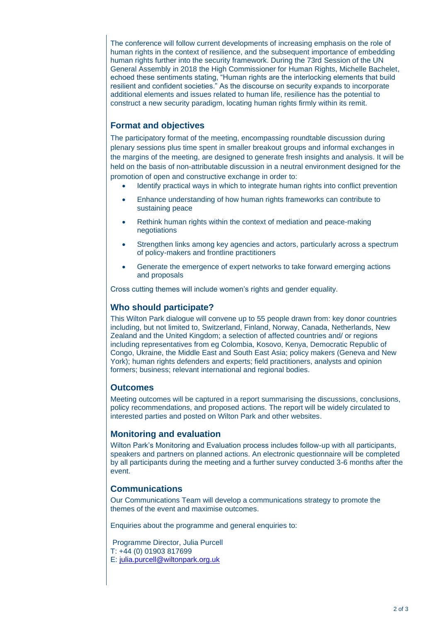The conference will follow current developments of increasing emphasis on the role of human rights in the context of resilience, and the subsequent importance of embedding human rights further into the security framework. During the 73rd Session of the UN General Assembly in 2018 the High Commissioner for Human Rights, Michelle Bachelet, echoed these sentiments stating, "Human rights are the interlocking elements that build resilient and confident societies." As the discourse on security expands to incorporate additional elements and issues related to human life, resilience has the potential to construct a new security paradigm, locating human rights firmly within its remit.

## **Format and objectives**

The participatory format of the meeting, encompassing roundtable discussion during plenary sessions plus time spent in smaller breakout groups and informal exchanges in the margins of the meeting, are designed to generate fresh insights and analysis. It will be held on the basis of non-attributable discussion in a neutral environment designed for the promotion of open and constructive exchange in order to:

- Identify practical ways in which to integrate human rights into conflict prevention
- Enhance understanding of how human rights frameworks can contribute to sustaining peace
- Rethink human rights within the context of mediation and peace-making negotiations
- Strengthen links among key agencies and actors, particularly across a spectrum of policy-makers and frontline practitioners
- Generate the emergence of expert networks to take forward emerging actions and proposals

Cross cutting themes will include women's rights and gender equality.

### **Who should participate?**

This Wilton Park dialogue will convene up to 55 people drawn from: key donor countries including, but not limited to, Switzerland, Finland, Norway, Canada, Netherlands, New Zealand and the United Kingdom; a selection of affected countries and/ or regions including representatives from eg Colombia, Kosovo, Kenya, Democratic Republic of Congo, Ukraine, the Middle East and South East Asia; policy makers (Geneva and New York); human rights defenders and experts; field practitioners, analysts and opinion formers; business; relevant international and regional bodies.

## **Outcomes**

Meeting outcomes will be captured in a report summarising the discussions, conclusions, policy recommendations, and proposed actions. The report will be widely circulated to interested parties and posted on Wilton Park and other websites.

#### **Monitoring and evaluation**

Wilton Park's Monitoring and Evaluation process includes follow-up with all participants, speakers and partners on planned actions. An electronic questionnaire will be completed by all participants during the meeting and a further survey conducted 3-6 months after the event.

## **Communications**

Our Communications Team will develop a communications strategy to promote the themes of the event and maximise outcomes.

Enquiries about the programme and general enquiries to:

Programme Director, Julia Purcell T: +44 (0) 01903 817699 E: [julia.purcell@wiltonpark.org.uk](mailto:julia.purcell@wiltonpark.org.uk)